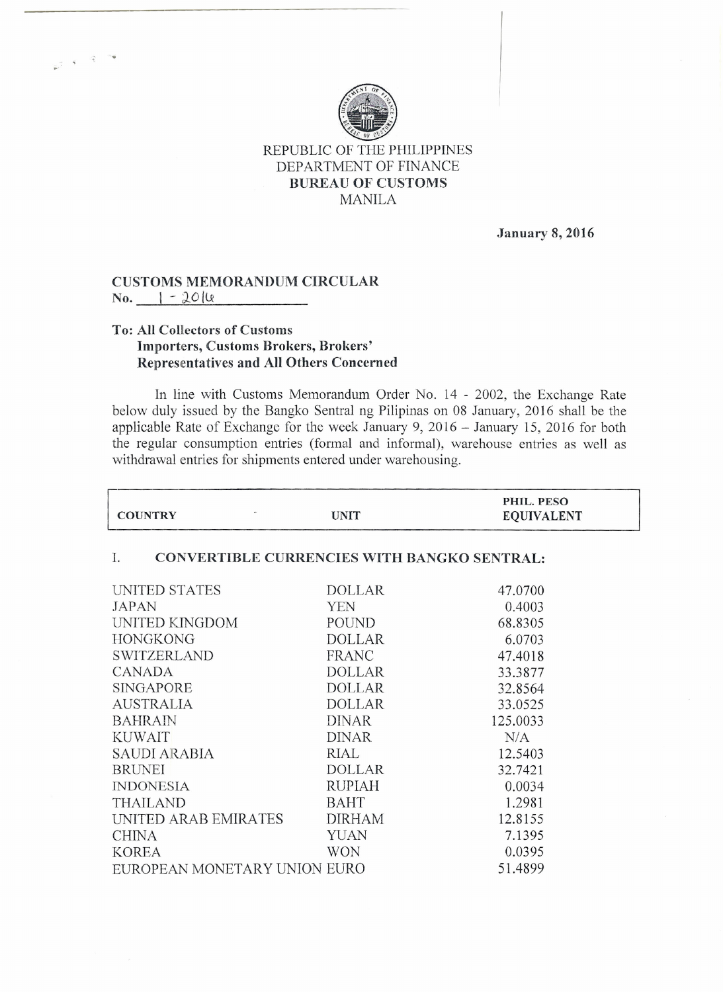

REPUBLIC OF THE PHILIPPINES DEPARTMENT OF FINANCE **BUREAU OF CUSTOMS** MANILA

**January 8, 2016**

## **CUSTOMS MEMORANDUM CIRCULAR**  $No.$   $| -20|$

.'

## **To: All Collectors of Customs Importers, Customs Brokers, Brokers' Representatives and All Others Concerned**

In line with Customs Memorandum Order No. 14 - 2002, the Exchange Rate below duly issued by the Bangko Sentral ng Pilipinas on 08 January, 2016 shall be the applicable Rate of Exchange for the week January 9, 2016 - January 15,2016 for both the regular consumption entries (formal and informal), warehouse entries as well as withdrawal entries for shipments entered under warehousing.

| <b>COUNTRY</b>                                           | <b>UNIT</b>   | PHIL. PESO<br><b>EQUIVALENT</b> |  |
|----------------------------------------------------------|---------------|---------------------------------|--|
|                                                          |               |                                 |  |
| <b>CONVERTIBLE CURRENCIES WITH BANGKO SENTRAL:</b><br>Ι. |               |                                 |  |
| UNITED STATES                                            | <b>DOLLAR</b> | 47.0700                         |  |
| JAPAN                                                    | <b>YEN</b>    | 0.4003                          |  |
| UNITED KINGDOM                                           | POUND         | 68.8305                         |  |
| <b>HONGKONG</b>                                          | <b>DOLLAR</b> | 6.0703                          |  |
| <b>SWITZERLAND</b>                                       | <b>FRANC</b>  | 47.4018                         |  |
| <b>CANADA</b>                                            | <b>DOLLAR</b> | 33.3877                         |  |
| <b>SINGAPORE</b>                                         | <b>DOLLAR</b> | 32.8564                         |  |
| <b>AUSTRALIA</b>                                         | <b>DOLLAR</b> | 33.0525                         |  |
| <b>BAHRAIN</b>                                           | <b>DINAR</b>  | 125.0033                        |  |
| <b>KUWAIT</b>                                            | <b>DINAR</b>  | N/A                             |  |
| SAUDI ARABIA                                             | RIAL          | 12.5403                         |  |
| <b>BRUNEI</b>                                            | <b>DOLLAR</b> | 32.7421                         |  |
| <b>INDONESIA</b>                                         | <b>RUPIAH</b> | 0.0034                          |  |
| <b>THAILAND</b>                                          | <b>BAHT</b>   | 1.2981                          |  |
| UNITED ARAB EMIRATES                                     | <b>DIRHAM</b> | 12.8155                         |  |
| <b>CHINA</b>                                             | <b>YUAN</b>   | 7.1395                          |  |
| <b>KOREA</b>                                             | <b>WON</b>    | 0.0395                          |  |
| EUROPEAN MONETARY UNION EURO                             |               | 51.4899                         |  |